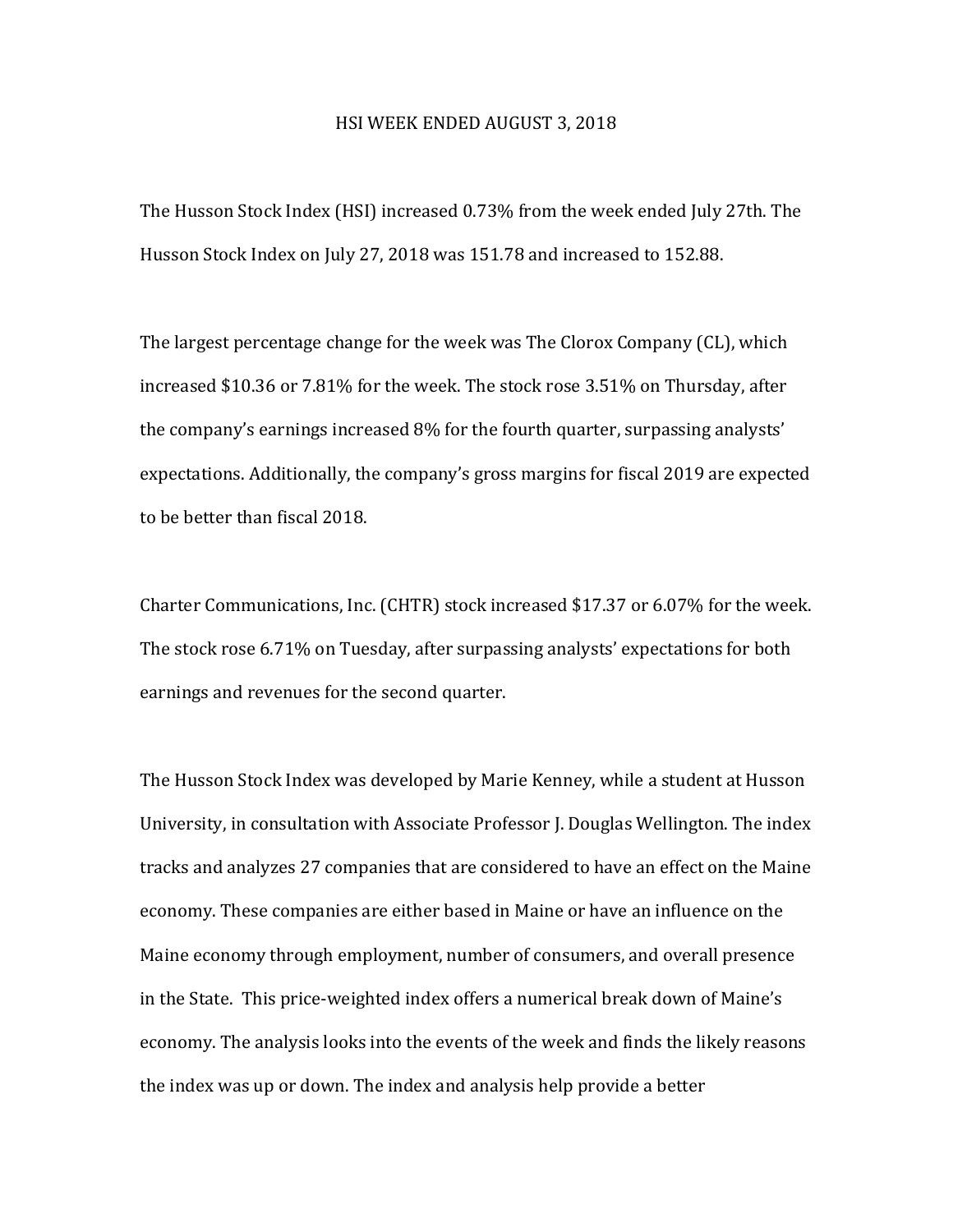## HSI WEEK ENDED AUGUST 3, 2018

The Husson Stock Index (HSI) increased 0.73% from the week ended July 27th. The Husson Stock Index on July 27, 2018 was 151.78 and increased to 152.88.

The largest percentage change for the week was The Clorox Company (CL), which increased  $$10.36$  or  $7.81\%$  for the week. The stock rose  $3.51\%$  on Thursday, after the company's earnings increased 8% for the fourth quarter, surpassing analysts' expectations. Additionally, the company's gross margins for fiscal 2019 are expected to be better than fiscal 2018.

Charter Communications, Inc. (CHTR) stock increased \$17.37 or 6.07% for the week. The stock rose 6.71% on Tuesday, after surpassing analysts' expectations for both earnings and revenues for the second quarter.

The Husson Stock Index was developed by Marie Kenney, while a student at Husson University, in consultation with Associate Professor J. Douglas Wellington. The index tracks and analyzes 27 companies that are considered to have an effect on the Maine economy. These companies are either based in Maine or have an influence on the Maine economy through employment, number of consumers, and overall presence in the State. This price-weighted index offers a numerical break down of Maine's economy. The analysis looks into the events of the week and finds the likely reasons the index was up or down. The index and analysis help provide a better